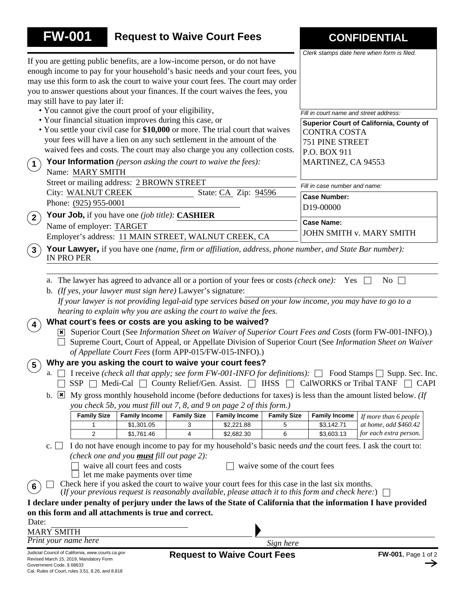|                          | <b>FW-001</b>                                                                               |                                                     |                    | <b>Request to Waive Court Fees</b>                                                                                                                            |                              |                                                                                                                                                                                                       | <b>CONFIDENTIAL</b>                                                                                               |
|--------------------------|---------------------------------------------------------------------------------------------|-----------------------------------------------------|--------------------|---------------------------------------------------------------------------------------------------------------------------------------------------------------|------------------------------|-------------------------------------------------------------------------------------------------------------------------------------------------------------------------------------------------------|-------------------------------------------------------------------------------------------------------------------|
|                          |                                                                                             |                                                     |                    |                                                                                                                                                               |                              |                                                                                                                                                                                                       | Clerk stamps date here when form is filed.                                                                        |
|                          |                                                                                             |                                                     |                    | If you are getting public benefits, are a low-income person, or do not have<br>enough income to pay for your household's basic needs and your court fees, you |                              |                                                                                                                                                                                                       |                                                                                                                   |
|                          |                                                                                             |                                                     |                    | may use this form to ask the court to waive your court fees. The court may order                                                                              |                              |                                                                                                                                                                                                       |                                                                                                                   |
|                          |                                                                                             |                                                     |                    | you to answer questions about your finances. If the court waives the fees, you                                                                                |                              |                                                                                                                                                                                                       |                                                                                                                   |
|                          | may still have to pay later if:                                                             |                                                     |                    |                                                                                                                                                               |                              |                                                                                                                                                                                                       |                                                                                                                   |
|                          | • You cannot give the court proof of your eligibility,                                      |                                                     |                    |                                                                                                                                                               |                              | Fill in court name and street address:                                                                                                                                                                |                                                                                                                   |
|                          | • Your financial situation improves during this case, or                                    |                                                     |                    |                                                                                                                                                               |                              |                                                                                                                                                                                                       | Superior Court of California, County of                                                                           |
|                          |                                                                                             |                                                     |                    | • You settle your civil case for \$10,000 or more. The trial court that waives<br>your fees will have a lien on any such settlement in the amount of the      |                              | <b>CONTRA COSTA</b>                                                                                                                                                                                   |                                                                                                                   |
|                          |                                                                                             |                                                     |                    | waived fees and costs. The court may also charge you any collection costs.                                                                                    |                              | 751 PINE STREET                                                                                                                                                                                       |                                                                                                                   |
|                          | <b>Your Information</b> (person asking the court to waive the fees):                        |                                                     |                    |                                                                                                                                                               |                              | P.O. BOX 911<br>MARTINEZ, CA 94553                                                                                                                                                                    |                                                                                                                   |
| $\left( 1\right)$        | Name: MARY SMITH                                                                            |                                                     |                    |                                                                                                                                                               |                              |                                                                                                                                                                                                       |                                                                                                                   |
|                          | Street or mailing address: 2 BROWN STREET                                                   |                                                     |                    |                                                                                                                                                               |                              | Fill in case number and name:                                                                                                                                                                         |                                                                                                                   |
|                          | City: WALNUT CREEK                                                                          |                                                     |                    | State: CA Zip: 94596                                                                                                                                          |                              | <b>Case Number:</b>                                                                                                                                                                                   |                                                                                                                   |
|                          | Phone: (925) 955-0001                                                                       |                                                     |                    |                                                                                                                                                               |                              | D19-00000                                                                                                                                                                                             |                                                                                                                   |
| $\mathbf{2}^{\circ}$     | <b>Your Job,</b> if you have one (job title): <b>CASHIER</b><br>Name of employer: TARGET    |                                                     |                    |                                                                                                                                                               |                              | <b>Case Name:</b>                                                                                                                                                                                     |                                                                                                                   |
|                          |                                                                                             |                                                     |                    | Employer's address: 11 MAIN STREET, WALNUT CREEK, CA                                                                                                          |                              |                                                                                                                                                                                                       | JOHN SMITH v. MARY SMITH                                                                                          |
| $\left(3\right)$         |                                                                                             |                                                     |                    |                                                                                                                                                               |                              | <b>Your Lawyer,</b> if you have one (name, firm or affiliation, address, phone number, and State Bar number):                                                                                         |                                                                                                                   |
|                          | <b>IN PRO PER</b>                                                                           |                                                     |                    |                                                                                                                                                               |                              |                                                                                                                                                                                                       |                                                                                                                   |
|                          |                                                                                             |                                                     |                    |                                                                                                                                                               |                              |                                                                                                                                                                                                       |                                                                                                                   |
|                          |                                                                                             |                                                     |                    |                                                                                                                                                               |                              | a. The lawyer has agreed to advance all or a portion of your fees or costs (check one): Yes                                                                                                           | No $\Box$                                                                                                         |
|                          | b. (If yes, your lawyer must sign here) Lawyer's signature:                                 |                                                     |                    |                                                                                                                                                               |                              |                                                                                                                                                                                                       |                                                                                                                   |
|                          |                                                                                             |                                                     |                    |                                                                                                                                                               |                              |                                                                                                                                                                                                       | If your lawyer is not providing legal-aid type services based on your low income, you may have to go to a         |
|                          |                                                                                             |                                                     |                    | hearing to explain why you are asking the court to waive the fees.                                                                                            |                              |                                                                                                                                                                                                       |                                                                                                                   |
|                          |                                                                                             |                                                     |                    | What court's fees or costs are you asking to be waived?                                                                                                       |                              |                                                                                                                                                                                                       |                                                                                                                   |
|                          |                                                                                             |                                                     |                    |                                                                                                                                                               |                              |                                                                                                                                                                                                       | [x] Superior Court (See Information Sheet on Waiver of Superior Court Fees and Costs (form FW-001-INFO).)         |
|                          |                                                                                             |                                                     |                    | of Appellate Court Fees (form APP-015/FW-015-INFO).)                                                                                                          |                              |                                                                                                                                                                                                       | Supreme Court, Court of Appeal, or Appellate Division of Superior Court (See Information Sheet on Waiver          |
| $\overline{5}$           |                                                                                             |                                                     |                    | Why are you asking the court to waive your court fees?                                                                                                        |                              |                                                                                                                                                                                                       |                                                                                                                   |
| a.                       |                                                                                             |                                                     |                    |                                                                                                                                                               |                              |                                                                                                                                                                                                       | I receive (check all that apply; see form FW-001-INFO for definitions): $\Box$ Food Stamps $\Box$ Supp. Sec. Inc. |
|                          |                                                                                             |                                                     |                    |                                                                                                                                                               |                              |                                                                                                                                                                                                       | $SSP \Box$ Medi-Cal $\Box$ County Relief/Gen. Assist. $\Box$ IHSS $\Box$ CalWORKS or Tribal TANF $\Box$ CAPI      |
| b.<br>$ \mathbf{X} $     |                                                                                             |                                                     |                    |                                                                                                                                                               |                              |                                                                                                                                                                                                       | My gross monthly household income (before deductions for taxes) is less than the amount listed below. (If         |
|                          |                                                                                             |                                                     |                    | you check 5b, you must fill out 7, 8, and 9 on page 2 of this form.)                                                                                          |                              |                                                                                                                                                                                                       |                                                                                                                   |
|                          | <b>Family Size</b>                                                                          | <b>Family Income</b>                                | <b>Family Size</b> | <b>Family Income</b>                                                                                                                                          | <b>Family Size</b>           | <b>Family Income</b>                                                                                                                                                                                  | If more than 6 people                                                                                             |
|                          | 1                                                                                           | \$1,301.05                                          | 3                  | \$2,221.88                                                                                                                                                    | 5                            | \$3,142.71                                                                                                                                                                                            | at home, add \$460.42                                                                                             |
|                          | 2                                                                                           | \$1,761.46                                          | 4                  | \$2,682.30                                                                                                                                                    | 6                            | \$3,603.13                                                                                                                                                                                            | for each extra person.                                                                                            |
| c.                       |                                                                                             | (check one and you <b>must</b> fill out page $2$ ): |                    |                                                                                                                                                               |                              |                                                                                                                                                                                                       | I do not have enough income to pay for my household's basic needs <i>and</i> the court fees. I ask the court to:  |
|                          |                                                                                             | waive all court fees and costs                      |                    |                                                                                                                                                               | waive some of the court fees |                                                                                                                                                                                                       |                                                                                                                   |
|                          |                                                                                             | let me make payments over time                      |                    |                                                                                                                                                               |                              |                                                                                                                                                                                                       |                                                                                                                   |
| 6                        |                                                                                             |                                                     |                    |                                                                                                                                                               |                              | Check here if you asked the court to waive your court fees for this case in the last six months.<br>(If your previous request is reasonably available, please attach it to this form and check here:) |                                                                                                                   |
|                          |                                                                                             |                                                     |                    |                                                                                                                                                               |                              |                                                                                                                                                                                                       | I declare under penalty of perjury under the laws of the State of California that the information I have provided |
|                          | on this form and all attachments is true and correct.                                       |                                                     |                    |                                                                                                                                                               |                              |                                                                                                                                                                                                       |                                                                                                                   |
| Date:                    |                                                                                             |                                                     |                    |                                                                                                                                                               |                              |                                                                                                                                                                                                       |                                                                                                                   |
| <b>MARY SMITH</b>        |                                                                                             |                                                     |                    |                                                                                                                                                               |                              |                                                                                                                                                                                                       |                                                                                                                   |
| Print your name here     |                                                                                             |                                                     |                    |                                                                                                                                                               | Sign here                    |                                                                                                                                                                                                       |                                                                                                                   |
| Government Code, § 68633 | Judicial Council of California, www.courts.ca.gov<br>Revised March 15, 2019, Mandatory Form |                                                     |                    | <b>Request to Waive Court Fees</b>                                                                                                                            |                              |                                                                                                                                                                                                       | FW-001, Page 1 of 2                                                                                               |